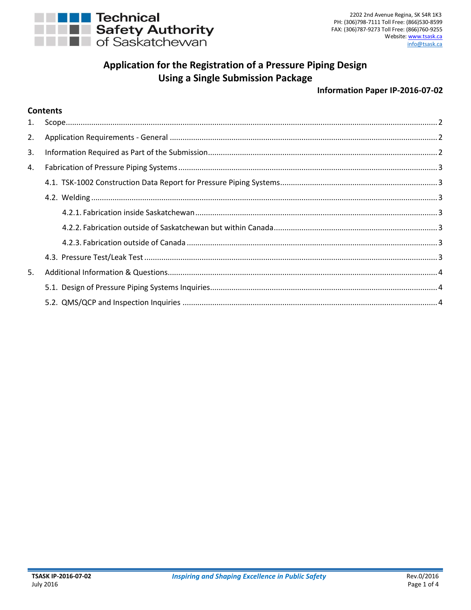

# **Application for the Registration of a Pressure Piping Design Using a Single Submission Package**

#### **Information Paper IP-2016-07-02**

## **Contents**

| 2. |  |
|----|--|
| 3. |  |
| 4. |  |
|    |  |
|    |  |
|    |  |
|    |  |
|    |  |
|    |  |
| 5. |  |
|    |  |
|    |  |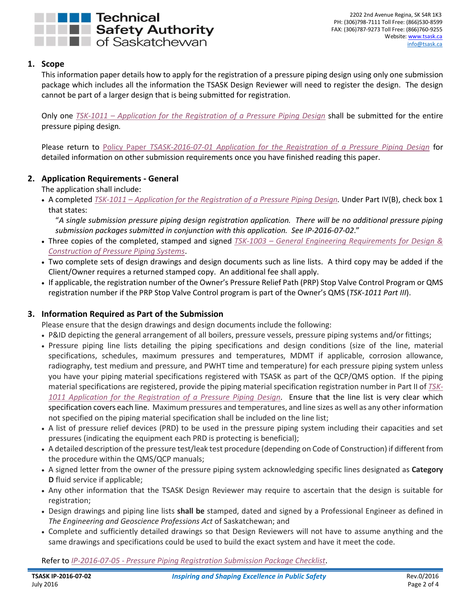

## <span id="page-1-0"></span>**1. Scope**

This information paper details how to apply for the registration of a pressure piping design using only one submission package which includes all the information the TSASK Design Reviewer will need to register the design. The design cannot be part of a larger design that is being submitted for registration.

Only one *TSK-1011 – [Application for the Registration of a Pressure Piping Design](http://www.tsask.ca/public/pdf/2016%20Pressure%20Piping/TSK-1011_-_Application_for_the_Registration_of_a_Pressure_Piping_Design_Form.pdf)* shall be submitted for the entire pressure piping design*.*

Please return to Policy Paper *[TSASK-2016-07-01 Application for the Registration of a Pressure Piping Design](http://www.tsask.ca/public/pdf/2016%20Pressure%20Piping/TSASK-2016-07-01_-_Application_for_Pressure_Piping_Review.pdf)* for detailed information on other submission requirements once you have finished reading this paper.

# <span id="page-1-1"></span>**2. Application Requirements - General**

The application shall include:

 A completed *TSK-1011 – [Application for the Registration of](http://www.tsask.ca/public/pdf/2016%20Pressure%20Piping/TSK-1011_-_Application_for_the_Registration_of_a_Pressure_Piping_Design_Form.pdf) a Pressure Piping Design.* Under Part IV(B), check box 1 that states:

"*A single submission pressure piping design registration application. There will be no additional pressure piping submission packages submitted in conjunction with this application. See IP-2016-07-02*."

- Three copies of the completed, stamped and signed *TSK-1003 – [General Engineering Requirements for Design &](http://www.tsask.ca/public/pdf/2016%20Pressure%20Piping/TSK-1003_-_General_Engineering_Requirements_for_Pressure_Piping.pdf)  [Construction of Pressure Piping Systems](http://www.tsask.ca/public/pdf/2016%20Pressure%20Piping/TSK-1003_-_General_Engineering_Requirements_for_Pressure_Piping.pdf)*.
- Two complete sets of design drawings and design documents such as line lists. A third copy may be added if the Client/Owner requires a returned stamped copy. An additional fee shall apply.
- If applicable, the registration number of the Owner's Pressure Relief Path (PRP) Stop Valve Control Program or QMS registration number if the PRP Stop Valve Control program is part of the Owner's QMS (*TSK-1011 Part III*).

# <span id="page-1-2"></span>**3. Information Required as Part of the Submission**

Please ensure that the design drawings and design documents include the following:

- P&ID depicting the general arrangement of all boilers, pressure vessels, pressure piping systems and/or fittings;
- Pressure piping line lists detailing the piping specifications and design conditions (size of the line, material specifications, schedules, maximum pressures and temperatures, MDMT if applicable, corrosion allowance, radiography, test medium and pressure, and PWHT time and temperature) for each pressure piping system unless you have your piping material specifications registered with TSASK as part of the QCP/QMS option. If the piping material specifications are registered, provide the piping material specification registration number in Part II of *[TSK-](http://www.tsask.ca/public/pdf/2016%20Pressure%20Piping/TSK-1011_-_Application_for_the_Registration_of_a_Pressure_Piping_Design_Form.pdf)[1011 Application for the Registration of a Pressure Piping Design.](http://www.tsask.ca/public/pdf/2016%20Pressure%20Piping/TSK-1011_-_Application_for_the_Registration_of_a_Pressure_Piping_Design_Form.pdf)* Ensure that the line list is very clear which specification covers each line. Maximum pressures and temperatures, and line sizes as well as any other information not specified on the piping material specification shall be included on the line list;
- A list of pressure relief devices (PRD) to be used in the pressure piping system including their capacities and set pressures (indicating the equipment each PRD is protecting is beneficial);
- A detailed description of the pressure test/leak test procedure (depending on Code of Construction) if different from the procedure within the QMS/QCP manuals;
- A signed letter from the owner of the pressure piping system acknowledging specific lines designated as **Category D** fluid service if applicable;
- Any other information that the TSASK Design Reviewer may require to ascertain that the design is suitable for registration;
- Design drawings and piping line lists **shall be** stamped, dated and signed by a Professional Engineer as defined in *The Engineering and Geoscience Professions Act* of Saskatchewan; and
- Complete and sufficiently detailed drawings so that Design Reviewers will not have to assume anything and the same drawings and specifications could be used to build the exact system and have it meet the code.

Refer to *IP-2016-07-05 - [Pressure Piping Registration Submission Package Checklist](http://www.tsask.ca/public/pdf/2016%20Pressure%20Piping/IP-2016-07-05_-_Pressure_Piping_Registration_Submission_Package_Checklist.pdf)*.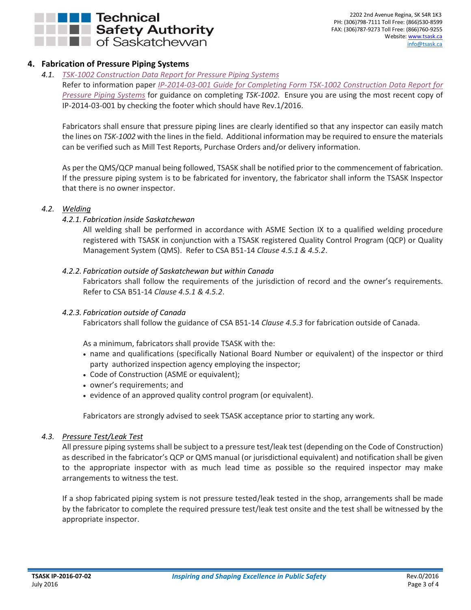

## <span id="page-2-0"></span>**4. Fabrication of Pressure Piping Systems**

### *4.1. [TSK-1002 Construction Data Report for Pressure Piping Systems](http://www.tsask.ca/public/pdf/2016%20Pressure%20Piping/TSK-1002_-_Construction_Data_Report_for_Pressure_Piping_Systems.pdf)*

<span id="page-2-1"></span>Refer to information paper *[IP-2014-03-001 Guide for Completing](http://www.tsask.ca/public/pdf/2016%20Pressure%20Piping/IP-2014-03-01_-_Guide_for_Completing_Form_TSK-1002.pdf) Form TSK-1002 Construction Data Report for [Pressure Piping Systems](http://www.tsask.ca/public/pdf/2016%20Pressure%20Piping/IP-2014-03-01_-_Guide_for_Completing_Form_TSK-1002.pdf)* for guidance on completing *TSK-1002*. Ensure you are using the most recent copy of IP-2014-03-001 by checking the footer which should have Rev.1/2016.

Fabricators shall ensure that pressure piping lines are clearly identified so that any inspector can easily match the lines on *TSK-1002* with the lines in the field. Additional information may be required to ensure the materials can be verified such as Mill Test Reports, Purchase Orders and/or delivery information.

As per the QMS/QCP manual being followed, TSASK shall be notified prior to the commencement of fabrication. If the pressure piping system is to be fabricated for inventory, the fabricator shall inform the TSASK Inspector that there is no owner inspector.

#### <span id="page-2-3"></span><span id="page-2-2"></span>*4.2. Welding*

#### *4.2.1. Fabrication inside Saskatchewan*

All welding shall be performed in accordance with ASME Section IX to a qualified welding procedure registered with TSASK in conjunction with a TSASK registered Quality Control Program (QCP) or Quality Management System (QMS). Refer to CSA B51-14 *Clause 4.5.1 & 4.5.2*.

#### <span id="page-2-4"></span>*4.2.2. Fabrication outside of Saskatchewan but within Canada*

Fabricators shall follow the requirements of the jurisdiction of record and the owner's requirements. Refer to CSA B51-14 *Clause 4.5.1 & 4.5.2*.

#### <span id="page-2-5"></span>*4.2.3. Fabrication outside of Canada*

Fabricators shall follow the guidance of CSA B51-14 *Clause 4.5.3* for fabrication outside of Canada.

As a minimum, fabricators shall provide TSASK with the:

- name and qualifications (specifically National Board Number or equivalent) of the inspector or third party authorized inspection agency employing the inspector;
- Code of Construction (ASME or equivalent);
- owner's requirements; and
- evidence of an approved quality control program (or equivalent).

Fabricators are strongly advised to seek TSASK acceptance prior to starting any work.

#### <span id="page-2-6"></span>*4.3. Pressure Test/Leak Test*

All pressure piping systems shall be subject to a pressure test/leak test (depending on the Code of Construction) as described in the fabricator's QCP or QMS manual (or jurisdictional equivalent) and notification shall be given to the appropriate inspector with as much lead time as possible so the required inspector may make arrangements to witness the test.

If a shop fabricated piping system is not pressure tested/leak tested in the shop, arrangements shall be made by the fabricator to complete the required pressure test/leak test onsite and the test shall be witnessed by the appropriate inspector.